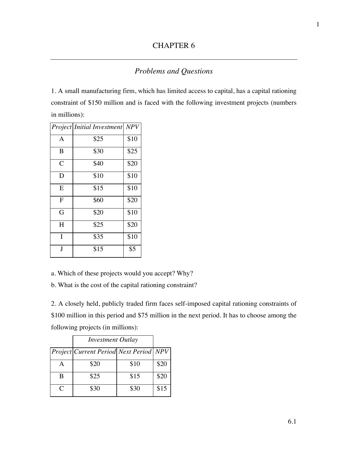## CHAPTER 6

## *Problems and Questions*

1. A small manufacturing firm, which has limited access to capital, has a capital rationing constraint of \$150 million and is faced with the following investment projects (numbers in millions):

|                | <b>Project</b> Initial Investment | NPV  |
|----------------|-----------------------------------|------|
| A              | \$25                              | \$10 |
| B              | \$30                              | \$25 |
| $\overline{C}$ | \$40                              | \$20 |
| D              | \$10                              | \$10 |
| E              | \$15                              | \$10 |
| F              | \$60                              | \$20 |
| G              | \$20                              | \$10 |
| H              | \$25                              | \$20 |
| I              | \$35                              | \$10 |
| J              | \$15                              | \$5  |

a. Which of these projects would you accept? Why?

b. What is the cost of the capital rationing constraint?

2. A closely held, publicly traded firm faces self-imposed capital rationing constraints of \$100 million in this period and \$75 million in the next period. It has to choose among the following projects (in millions):

|                             | <b>Investment Outlay</b>                      |      |      |
|-----------------------------|-----------------------------------------------|------|------|
|                             | <b>Project Current Period Next Period NPV</b> |      |      |
|                             | \$20                                          | \$10 | \$20 |
| B                           | \$25                                          | \$15 | \$20 |
| $\mathcal{C}_{\mathcal{C}}$ | \$30                                          | \$30 | \$15 |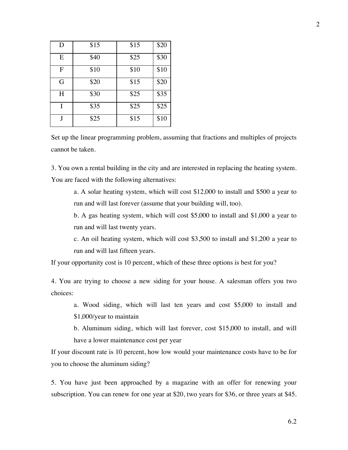| D              | \$15 | \$15 | \$20 |
|----------------|------|------|------|
| E              | \$40 | \$25 | \$30 |
| $\overline{F}$ | \$10 | \$10 | \$10 |
| G              | \$20 | \$15 | \$20 |
| H              | \$30 | \$25 | \$35 |
| I              | \$35 | \$25 | \$25 |
|                | \$25 | \$15 | \$10 |

Set up the linear programming problem, assuming that fractions and multiples of projects cannot be taken.

3. You own a rental building in the city and are interested in replacing the heating system. You are faced with the following alternatives:

a. A solar heating system, which will cost \$12,000 to install and \$500 a year to run and will last forever (assume that your building will, too).

b. A gas heating system, which will cost \$5,000 to install and \$1,000 a year to run and will last twenty years.

c. An oil heating system, which will cost \$3,500 to install and \$1,200 a year to run and will last fifteen years.

If your opportunity cost is 10 percent, which of these three options is best for you?

4. You are trying to choose a new siding for your house. A salesman offers you two choices:

a. Wood siding, which will last ten years and cost \$5,000 to install and \$1,000/year to maintain

b. Aluminum siding, which will last forever, cost \$15,000 to install, and will have a lower maintenance cost per year

If your discount rate is 10 percent, how low would your maintenance costs have to be for you to choose the aluminum siding?

5. You have just been approached by a magazine with an offer for renewing your subscription. You can renew for one year at \$20, two years for \$36, or three years at \$45.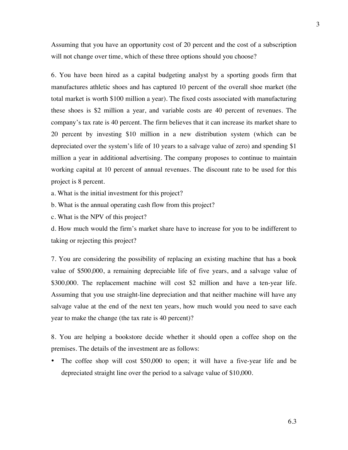Assuming that you have an opportunity cost of 20 percent and the cost of a subscription will not change over time, which of these three options should you choose?

6. You have been hired as a capital budgeting analyst by a sporting goods firm that manufactures athletic shoes and has captured 10 percent of the overall shoe market (the total market is worth \$100 million a year). The fixed costs associated with manufacturing these shoes is \$2 million a year, and variable costs are 40 percent of revenues. The company's tax rate is 40 percent. The firm believes that it can increase its market share to 20 percent by investing \$10 million in a new distribution system (which can be depreciated over the system's life of 10 years to a salvage value of zero) and spending \$1 million a year in additional advertising. The company proposes to continue to maintain working capital at 10 percent of annual revenues. The discount rate to be used for this project is 8 percent.

a. What is the initial investment for this project?

b. What is the annual operating cash flow from this project?

c. What is the NPV of this project?

d. How much would the firm's market share have to increase for you to be indifferent to taking or rejecting this project?

7. You are considering the possibility of replacing an existing machine that has a book value of \$500,000, a remaining depreciable life of five years, and a salvage value of \$300,000. The replacement machine will cost \$2 million and have a ten-year life. Assuming that you use straight-line depreciation and that neither machine will have any salvage value at the end of the next ten years, how much would you need to save each year to make the change (the tax rate is 40 percent)?

8. You are helping a bookstore decide whether it should open a coffee shop on the premises. The details of the investment are as follows:

• The coffee shop will cost \$50,000 to open; it will have a five-year life and be depreciated straight line over the period to a salvage value of \$10,000.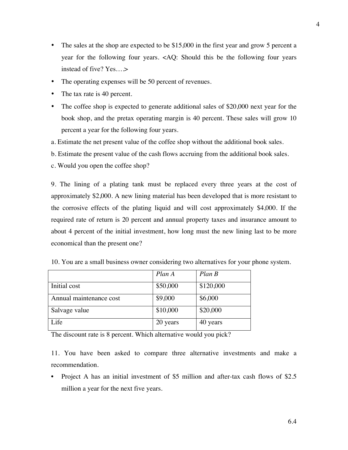- The sales at the shop are expected to be \$15,000 in the first year and grow 5 percent a year for the following four years. <AQ: Should this be the following four years instead of five? Yes….>
- The operating expenses will be 50 percent of revenues.
- The tax rate is 40 percent.
- The coffee shop is expected to generate additional sales of \$20,000 next year for the book shop, and the pretax operating margin is 40 percent. These sales will grow 10 percent a year for the following four years.
- a. Estimate the net present value of the coffee shop without the additional book sales.
- b. Estimate the present value of the cash flows accruing from the additional book sales.
- c. Would you open the coffee shop?

9. The lining of a plating tank must be replaced every three years at the cost of approximately \$2,000. A new lining material has been developed that is more resistant to the corrosive effects of the plating liquid and will cost approximately \$4,000. If the required rate of return is 20 percent and annual property taxes and insurance amount to about 4 percent of the initial investment, how long must the new lining last to be more economical than the present one?

|                         | Plan A   | $Plan$ $B$ |
|-------------------------|----------|------------|
| Initial cost            | \$50,000 | \$120,000  |
| Annual maintenance cost | \$9,000  | \$6,000    |
| Salvage value           | \$10,000 | \$20,000   |
| Life                    | 20 years | 40 years   |

10. You are a small business owner considering two alternatives for your phone system.

The discount rate is 8 percent. Which alternative would you pick?

11. You have been asked to compare three alternative investments and make a recommendation.

• Project A has an initial investment of \$5 million and after-tax cash flows of \$2.5 million a year for the next five years.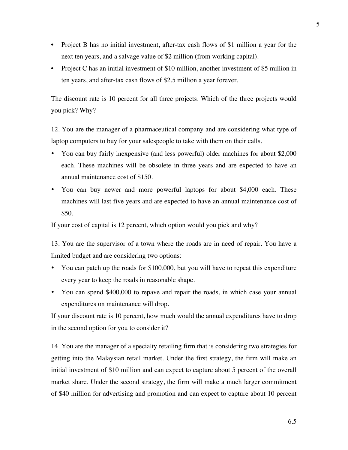- Project B has no initial investment, after-tax cash flows of \$1 million a year for the next ten years, and a salvage value of \$2 million (from working capital).
- Project C has an initial investment of \$10 million, another investment of \$5 million in ten years, and after-tax cash flows of \$2.5 million a year forever.

The discount rate is 10 percent for all three projects. Which of the three projects would you pick? Why?

12. You are the manager of a pharmaceutical company and are considering what type of laptop computers to buy for your salespeople to take with them on their calls.

- You can buy fairly inexpensive (and less powerful) older machines for about \$2,000 each. These machines will be obsolete in three years and are expected to have an annual maintenance cost of \$150.
- You can buy newer and more powerful laptops for about \$4,000 each. These machines will last five years and are expected to have an annual maintenance cost of \$50.

If your cost of capital is 12 percent, which option would you pick and why?

13. You are the supervisor of a town where the roads are in need of repair. You have a limited budget and are considering two options:

- You can patch up the roads for \$100,000, but you will have to repeat this expenditure every year to keep the roads in reasonable shape.
- You can spend \$400,000 to repave and repair the roads, in which case your annual expenditures on maintenance will drop.

If your discount rate is 10 percent, how much would the annual expenditures have to drop in the second option for you to consider it?

14. You are the manager of a specialty retailing firm that is considering two strategies for getting into the Malaysian retail market. Under the first strategy, the firm will make an initial investment of \$10 million and can expect to capture about 5 percent of the overall market share. Under the second strategy, the firm will make a much larger commitment of \$40 million for advertising and promotion and can expect to capture about 10 percent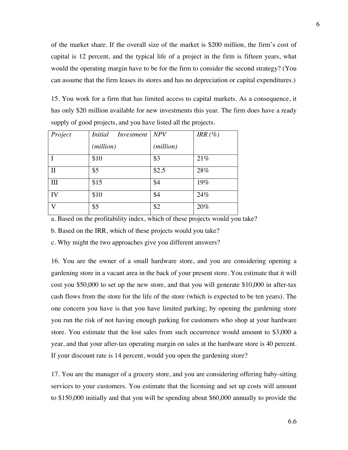of the market share. If the overall size of the market is \$200 million, the firm's cost of capital is 12 percent, and the typical life of a project in the firm is fifteen years, what would the operating margin have to be for the firm to consider the second strategy? (You can assume that the firm leases its stores and has no depreciation or capital expenditures.)

15. You work for a firm that has limited access to capital markets. As a consequence, it has only \$20 million available for new investments this year. The firm does have a ready supply of good projects, and you have listed all the projects.

| Project      | <i>Initial</i><br>Investment | NPV                | IRR $(\%)$ |
|--------------|------------------------------|--------------------|------------|
|              | (million)                    | ( <i>million</i> ) |            |
|              | \$10                         | \$3                | 21%        |
| $\mathbf{I}$ | \$5                          | \$2.5              | 28%        |
| Ш            | \$15                         | \$4                | 19%        |
| IV           | \$10                         | \$4                | 24%        |
| V            | \$5                          | \$2                | 20%        |

a. Based on the profitability index, which of these projects would you take?

b. Based on the IRR, which of these projects would you take?

c. Why might the two approaches give you different answers?

16. You are the owner of a small hardware store, and you are considering opening a gardening store in a vacant area in the back of your present store. You estimate that it will cost you \$50,000 to set up the new store, and that you will generate \$10,000 in after-tax cash flows from the store for the life of the store (which is expected to be ten years). The one concern you have is that you have limited parking; by opening the gardening store you run the risk of not having enough parking for customers who shop at your hardware store. You estimate that the lost sales from such occurrence would amount to \$3,000 a year, and that your after-tax operating margin on sales at the hardware store is 40 percent. If your discount rate is 14 percent, would you open the gardening store?

17. You are the manager of a grocery store, and you are considering offering baby-sitting services to your customers. You estimate that the licensing and set up costs will amount to \$150,000 initially and that you will be spending about \$60,000 annually to provide the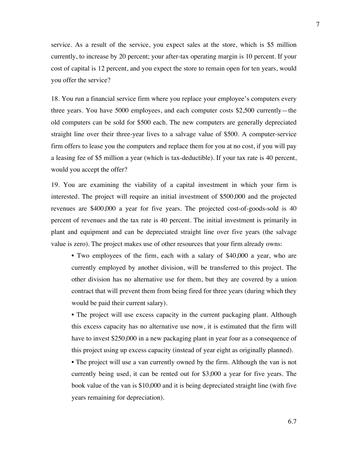service. As a result of the service, you expect sales at the store, which is \$5 million currently, to increase by 20 percent; your after-tax operating margin is 10 percent. If your cost of capital is 12 percent, and you expect the store to remain open for ten years, would you offer the service?

18. You run a financial service firm where you replace your employee's computers every three years. You have 5000 employees, and each computer costs \$2,500 currently—the old computers can be sold for \$500 each. The new computers are generally depreciated straight line over their three-year lives to a salvage value of \$500. A computer-service firm offers to lease you the computers and replace them for you at no cost, if you will pay a leasing fee of \$5 million a year (which is tax-deductible). If your tax rate is 40 percent, would you accept the offer?

19. You are examining the viability of a capital investment in which your firm is interested. The project will require an initial investment of \$500,000 and the projected revenues are \$400,000 a year for five years. The projected cost-of-goods-sold is 40 percent of revenues and the tax rate is 40 percent. The initial investment is primarily in plant and equipment and can be depreciated straight line over five years (the salvage value is zero). The project makes use of other resources that your firm already owns:

• Two employees of the firm, each with a salary of \$40,000 a year, who are currently employed by another division, will be transferred to this project. The other division has no alternative use for them, but they are covered by a union contract that will prevent them from being fired for three years (during which they would be paid their current salary).

• The project will use excess capacity in the current packaging plant. Although this excess capacity has no alternative use now, it is estimated that the firm will have to invest \$250,000 in a new packaging plant in year four as a consequence of this project using up excess capacity (instead of year eight as originally planned).

• The project will use a van currently owned by the firm. Although the van is not currently being used, it can be rented out for \$3,000 a year for five years. The book value of the van is \$10,000 and it is being depreciated straight line (with five years remaining for depreciation).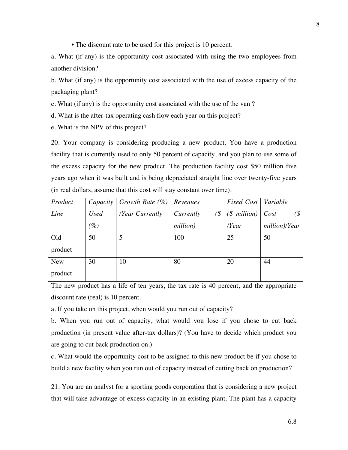• The discount rate to be used for this project is 10 percent.

a. What (if any) is the opportunity cost associated with using the two employees from another division?

b. What (if any) is the opportunity cost associated with the use of excess capacity of the packaging plant?

c. What (if any) is the opportunity cost associated with the use of the van ?

d. What is the after-tax operating cash flow each year on this project?

e. What is the NPV of this project?

20. Your company is considering producing a new product. You have a production facility that is currently used to only 50 percent of capacity, and you plan to use some of the excess capacity for the new product. The production facility cost \$50 million five years ago when it was built and is being depreciated straight line over twenty-five years (in real dollars, assume that this cost will stay constant over time).

| Product    | Capacity    | Growth Rate $(\% )$ | Revenues           | Fixed Cost                 | Variable          |
|------------|-------------|---------------------|--------------------|----------------------------|-------------------|
| Line       | <b>Used</b> | /Year Currently     | $\Im$<br>Currently | $(\text{\$ million})$ Cost | (S <sup>2</sup> ) |
|            | (%)         |                     | million)           | $\gamma$ Year              | million)/Year     |
| Old        | 50          | 5                   | 100                | 25                         | 50                |
| product    |             |                     |                    |                            |                   |
| <b>New</b> | 30          | 10                  | 80                 | 20                         | 44                |
| product    |             |                     |                    |                            |                   |

The new product has a life of ten years, the tax rate is 40 percent, and the appropriate discount rate (real) is 10 percent.

a. If you take on this project, when would you run out of capacity?

b. When you run out of capacity, what would you lose if you chose to cut back production (in present value after-tax dollars)? (You have to decide which product you are going to cut back production on.)

c. What would the opportunity cost to be assigned to this new product be if you chose to build a new facility when you run out of capacity instead of cutting back on production?

21. You are an analyst for a sporting goods corporation that is considering a new project that will take advantage of excess capacity in an existing plant. The plant has a capacity